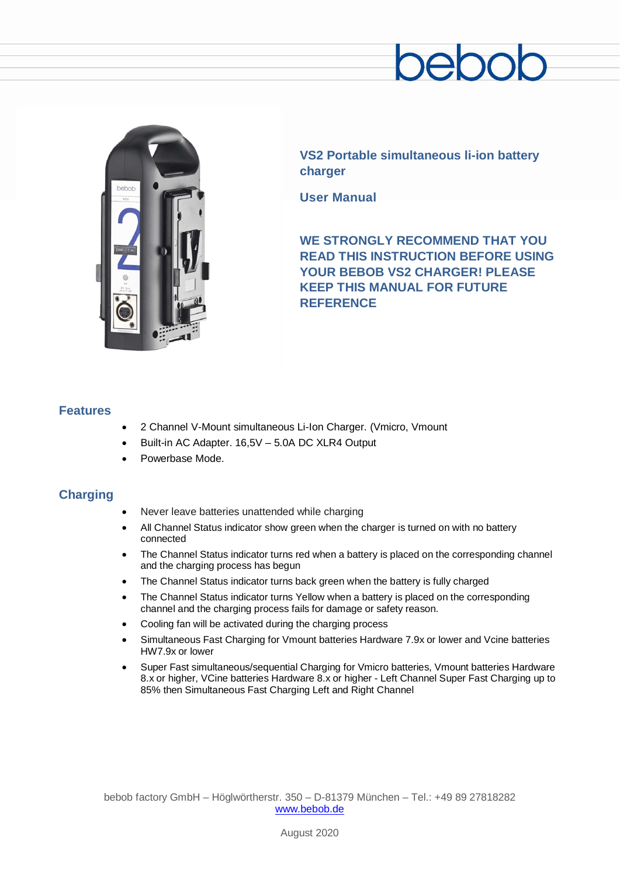

**VS2 Portable simultaneous li-ion battery charger**

**User Manual**

**WE STRONGLY RECOMMEND THAT YOU READ THIS INSTRUCTION BEFORE USING**  YOUR BEBOB VS2 CHARGER! PLEASE **KEEP THIS MANUAL FOR FUTURE REFERENCE**

#### **Features**

- 2 Channel V-Mount simultaneous Li-Ion Charger. (Vmicro, Vmount
- Built-in AC Adapter. 16,5V 5.0A DC XLR4 Output
- Powerbase Mode.

### **Charging**

- Never leave batteries unattended while charging
- All Channel Status indicator show green when the charger is turned on with no battery connected
- The Channel Status indicator turns red when a battery is placed on the corresponding channel and the charging process has begun
- The Channel Status indicator turns back green when the battery is fully charged
- The Channel Status indicator turns Yellow when a battery is placed on the corresponding channel and the charging process fails for damage or safety reason.
- Cooling fan will be activated during the charging process
- Simultaneous Fast Charging for Vmount batteries Hardware 7.9x or lower and Vcine batteries HW7.9x or lower
- Super Fast simultaneous/sequential Charging for Vmicro batteries, Vmount batteries Hardware 8.x or higher, VCine batteries Hardware 8.x or higher - Left Channel Super Fast Charging up to 85% then Simultaneous Fast Charging Left and Right Channel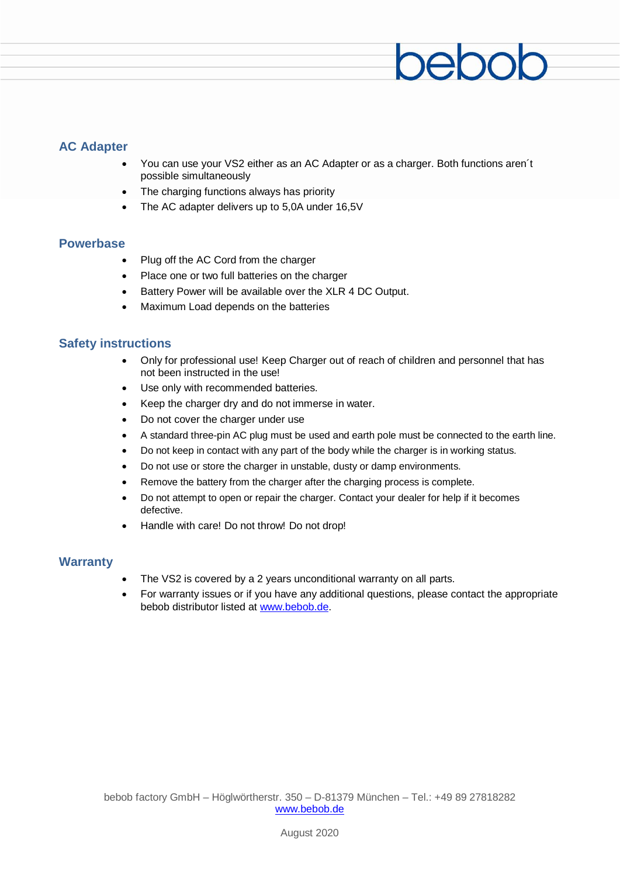## **AC Adapter**

• You can use your VS2 either as an AC Adapter or as a charger. Both functions aren´t possible simultaneously

 $200$ 

- The charging functions always has priority
- The AC adapter delivers up to 5,0A under 16,5V

#### **Powerbase**

- Plug off the AC Cord from the charger
- Place one or two full batteries on the charger
- Battery Power will be available over the XLR 4 DC Output.
- Maximum Load depends on the batteries

#### **Safety instructions**

- Only for professional use! Keep Charger out of reach of children and personnel that has not been instructed in the use!
- Use only with recommended batteries.
- Keep the charger dry and do not immerse in water.
- Do not cover the charger under use
- A standard three-pin AC plug must be used and earth pole must be connected to the earth line.
- Do not keep in contact with any part of the body while the charger is in working status.
- Do not use or store the charger in unstable, dusty or damp environments.
- Remove the battery from the charger after the charging process is complete.
- Do not attempt to open or repair the charger. Contact your dealer for help if it becomes defective.
- Handle with care! Do not throw! Do not drop!

#### **Warranty**

- The VS2 is covered by a 2 years unconditional warranty on all parts.
- For warranty issues or if you have any additional questions, please contact the appropriate bebob distributor listed at [www.bebob.de.](http://www.bebob.de/)